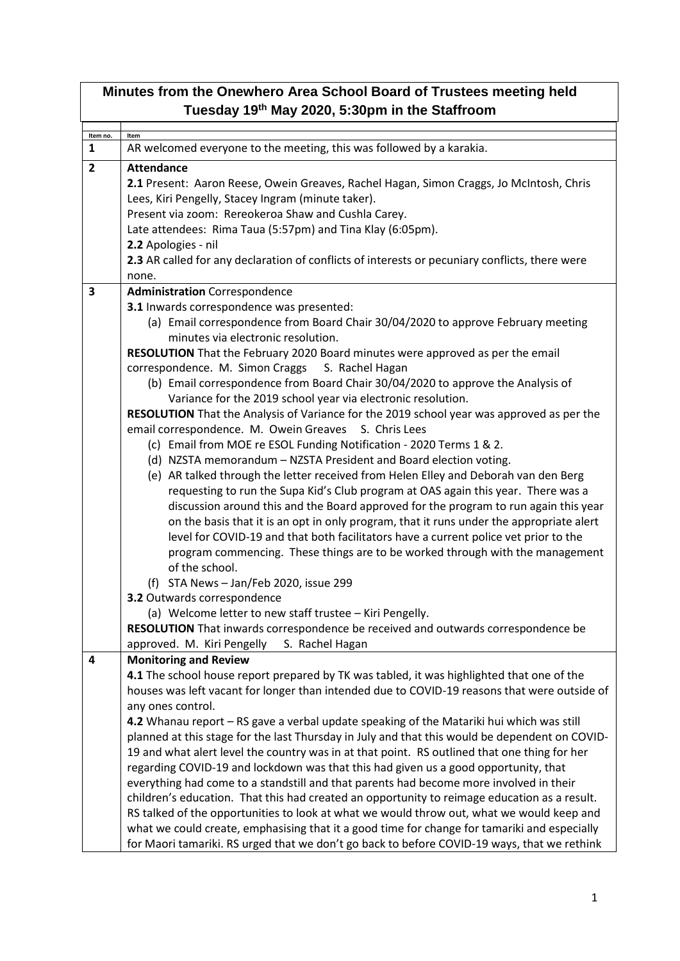| Minutes from the Onewhero Area School Board of Trustees meeting held<br>Tuesday 19th May 2020, 5:30pm in the Staffroom |                                                                                                                                                                                                                                                                                                                                                                                                                                                                                                                                                                                                                                                                                                                                                                                                                                                                                                                                                                                                                                                                                                                           |  |  |
|------------------------------------------------------------------------------------------------------------------------|---------------------------------------------------------------------------------------------------------------------------------------------------------------------------------------------------------------------------------------------------------------------------------------------------------------------------------------------------------------------------------------------------------------------------------------------------------------------------------------------------------------------------------------------------------------------------------------------------------------------------------------------------------------------------------------------------------------------------------------------------------------------------------------------------------------------------------------------------------------------------------------------------------------------------------------------------------------------------------------------------------------------------------------------------------------------------------------------------------------------------|--|--|
| Item no.                                                                                                               | Item                                                                                                                                                                                                                                                                                                                                                                                                                                                                                                                                                                                                                                                                                                                                                                                                                                                                                                                                                                                                                                                                                                                      |  |  |
| 1                                                                                                                      | AR welcomed everyone to the meeting, this was followed by a karakia.                                                                                                                                                                                                                                                                                                                                                                                                                                                                                                                                                                                                                                                                                                                                                                                                                                                                                                                                                                                                                                                      |  |  |
| $\overline{2}$                                                                                                         | <b>Attendance</b><br>2.1 Present: Aaron Reese, Owein Greaves, Rachel Hagan, Simon Craggs, Jo McIntosh, Chris<br>Lees, Kiri Pengelly, Stacey Ingram (minute taker).<br>Present via zoom: Rereokeroa Shaw and Cushla Carey.<br>Late attendees: Rima Taua (5:57pm) and Tina Klay (6:05pm).<br>2.2 Apologies - nil<br>2.3 AR called for any declaration of conflicts of interests or pecuniary conflicts, there were                                                                                                                                                                                                                                                                                                                                                                                                                                                                                                                                                                                                                                                                                                          |  |  |
|                                                                                                                        | none.                                                                                                                                                                                                                                                                                                                                                                                                                                                                                                                                                                                                                                                                                                                                                                                                                                                                                                                                                                                                                                                                                                                     |  |  |
| 3                                                                                                                      | <b>Administration</b> Correspondence<br>3.1 Inwards correspondence was presented:<br>(a) Email correspondence from Board Chair 30/04/2020 to approve February meeting<br>minutes via electronic resolution.<br>RESOLUTION That the February 2020 Board minutes were approved as per the email<br>correspondence. M. Simon Craggs S. Rachel Hagan<br>(b) Email correspondence from Board Chair 30/04/2020 to approve the Analysis of<br>Variance for the 2019 school year via electronic resolution.<br>RESOLUTION That the Analysis of Variance for the 2019 school year was approved as per the<br>email correspondence. M. Owein Greaves<br>S. Chris Lees                                                                                                                                                                                                                                                                                                                                                                                                                                                               |  |  |
|                                                                                                                        | (c) Email from MOE re ESOL Funding Notification - 2020 Terms 1 & 2.<br>(d) NZSTA memorandum - NZSTA President and Board election voting.<br>(e) AR talked through the letter received from Helen Elley and Deborah van den Berg<br>requesting to run the Supa Kid's Club program at OAS again this year. There was a<br>discussion around this and the Board approved for the program to run again this year<br>on the basis that it is an opt in only program, that it runs under the appropriate alert<br>level for COVID-19 and that both facilitators have a current police vet prior to the<br>program commencing. These things are to be worked through with the management<br>of the school.<br>(f) STA News - Jan/Feb 2020, issue 299<br>3.2 Outwards correspondence<br>(a) Welcome letter to new staff trustee - Kiri Pengelly.<br>RESOLUTION That inwards correspondence be received and outwards correspondence be<br>approved. M. Kiri Pengelly<br>S. Rachel Hagan                                                                                                                                            |  |  |
| 4                                                                                                                      | <b>Monitoring and Review</b><br>4.1 The school house report prepared by TK was tabled, it was highlighted that one of the<br>houses was left vacant for longer than intended due to COVID-19 reasons that were outside of<br>any ones control.<br>4.2 Whanau report - RS gave a verbal update speaking of the Matariki hui which was still<br>planned at this stage for the last Thursday in July and that this would be dependent on COVID-<br>19 and what alert level the country was in at that point. RS outlined that one thing for her<br>regarding COVID-19 and lockdown was that this had given us a good opportunity, that<br>everything had come to a standstill and that parents had become more involved in their<br>children's education. That this had created an opportunity to reimage education as a result.<br>RS talked of the opportunities to look at what we would throw out, what we would keep and<br>what we could create, emphasising that it a good time for change for tamariki and especially<br>for Maori tamariki. RS urged that we don't go back to before COVID-19 ways, that we rethink |  |  |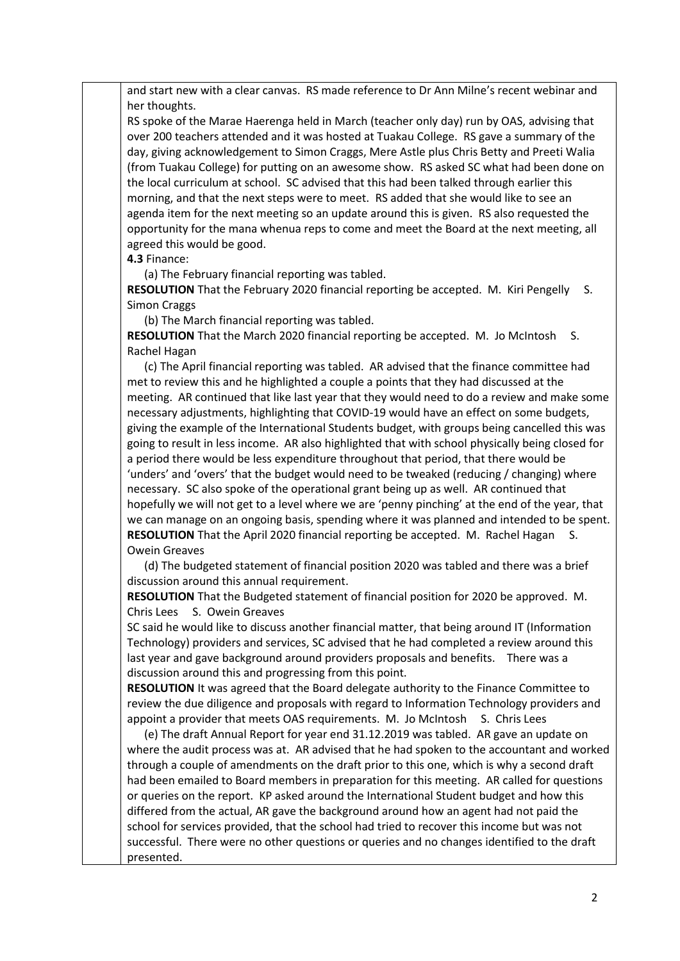and start new with a clear canvas. RS made reference to Dr Ann Milne's recent webinar and her thoughts.

RS spoke of the Marae Haerenga held in March (teacher only day) run by OAS, advising that over 200 teachers attended and it was hosted at Tuakau College. RS gave a summary of the day, giving acknowledgement to Simon Craggs, Mere Astle plus Chris Betty and Preeti Walia (from Tuakau College) for putting on an awesome show. RS asked SC what had been done on the local curriculum at school. SC advised that this had been talked through earlier this morning, and that the next steps were to meet. RS added that she would like to see an agenda item for the next meeting so an update around this is given. RS also requested the opportunity for the mana whenua reps to come and meet the Board at the next meeting, all agreed this would be good.

## **4.3** Finance:

(a) The February financial reporting was tabled.

**RESOLUTION** That the February 2020 financial reporting be accepted. M. Kiri Pengelly S. Simon Craggs

(b) The March financial reporting was tabled.

**RESOLUTION** That the March 2020 financial reporting be accepted. M. Jo McIntosh S. Rachel Hagan

 (c) The April financial reporting was tabled. AR advised that the finance committee had met to review this and he highlighted a couple a points that they had discussed at the meeting. AR continued that like last year that they would need to do a review and make some necessary adjustments, highlighting that COVID-19 would have an effect on some budgets, giving the example of the International Students budget, with groups being cancelled this was going to result in less income. AR also highlighted that with school physically being closed for a period there would be less expenditure throughout that period, that there would be 'unders' and 'overs' that the budget would need to be tweaked (reducing / changing) where necessary. SC also spoke of the operational grant being up as well. AR continued that hopefully we will not get to a level where we are 'penny pinching' at the end of the year, that we can manage on an ongoing basis, spending where it was planned and intended to be spent. **RESOLUTION** That the April 2020 financial reporting be accepted. M. Rachel Hagan S. Owein Greaves

 (d) The budgeted statement of financial position 2020 was tabled and there was a brief discussion around this annual requirement.

**RESOLUTION** That the Budgeted statement of financial position for 2020 be approved. M. Chris Lees S. Owein Greaves

SC said he would like to discuss another financial matter, that being around IT (Information Technology) providers and services, SC advised that he had completed a review around this last year and gave background around providers proposals and benefits. There was a discussion around this and progressing from this point.

**RESOLUTION** It was agreed that the Board delegate authority to the Finance Committee to review the due diligence and proposals with regard to Information Technology providers and appoint a provider that meets OAS requirements. M. Jo McIntosh S. Chris Lees

 (e) The draft Annual Report for year end 31.12.2019 was tabled. AR gave an update on where the audit process was at. AR advised that he had spoken to the accountant and worked through a couple of amendments on the draft prior to this one, which is why a second draft had been emailed to Board members in preparation for this meeting. AR called for questions or queries on the report. KP asked around the International Student budget and how this differed from the actual, AR gave the background around how an agent had not paid the school for services provided, that the school had tried to recover this income but was not successful. There were no other questions or queries and no changes identified to the draft presented.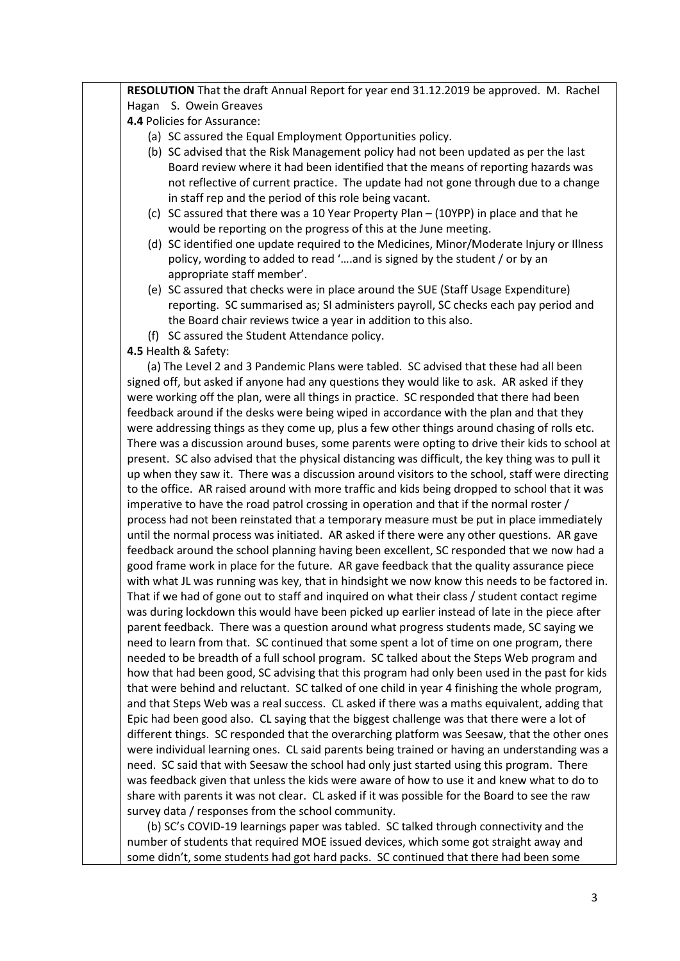**RESOLUTION** That the draft Annual Report for year end 31.12.2019 be approved. M. Rachel Hagan S. Owein Greaves **4.4** Policies for Assurance: (a) SC assured the Equal Employment Opportunities policy. (b) SC advised that the Risk Management policy had not been updated as per the last Board review where it had been identified that the means of reporting hazards was not reflective of current practice. The update had not gone through due to a change in staff rep and the period of this role being vacant. (c) SC assured that there was a 10 Year Property Plan – (10YPP) in place and that he would be reporting on the progress of this at the June meeting. (d) SC identified one update required to the Medicines, Minor/Moderate Injury or Illness policy, wording to added to read '….and is signed by the student / or by an appropriate staff member'. (e) SC assured that checks were in place around the SUE (Staff Usage Expenditure) reporting. SC summarised as; SI administers payroll, SC checks each pay period and the Board chair reviews twice a year in addition to this also. (f) SC assured the Student Attendance policy. **4.5** Health & Safety: (a) The Level 2 and 3 Pandemic Plans were tabled. SC advised that these had all been signed off, but asked if anyone had any questions they would like to ask. AR asked if they were working off the plan, were all things in practice. SC responded that there had been feedback around if the desks were being wiped in accordance with the plan and that they were addressing things as they come up, plus a few other things around chasing of rolls etc. There was a discussion around buses, some parents were opting to drive their kids to school at present. SC also advised that the physical distancing was difficult, the key thing was to pull it up when they saw it. There was a discussion around visitors to the school, staff were directing to the office. AR raised around with more traffic and kids being dropped to school that it was imperative to have the road patrol crossing in operation and that if the normal roster / process had not been reinstated that a temporary measure must be put in place immediately until the normal process was initiated. AR asked if there were any other questions. AR gave feedback around the school planning having been excellent, SC responded that we now had a good frame work in place for the future. AR gave feedback that the quality assurance piece with what JL was running was key, that in hindsight we now know this needs to be factored in. That if we had of gone out to staff and inquired on what their class / student contact regime was during lockdown this would have been picked up earlier instead of late in the piece after parent feedback. There was a question around what progress students made, SC saying we need to learn from that. SC continued that some spent a lot of time on one program, there needed to be breadth of a full school program. SC talked about the Steps Web program and how that had been good, SC advising that this program had only been used in the past for kids that were behind and reluctant. SC talked of one child in year 4 finishing the whole program, and that Steps Web was a real success. CL asked if there was a maths equivalent, adding that Epic had been good also. CL saying that the biggest challenge was that there were a lot of different things. SC responded that the overarching platform was Seesaw, that the other ones were individual learning ones. CL said parents being trained or having an understanding was a need. SC said that with Seesaw the school had only just started using this program. There was feedback given that unless the kids were aware of how to use it and knew what to do to share with parents it was not clear. CL asked if it was possible for the Board to see the raw survey data / responses from the school community. (b) SC's COVID-19 learnings paper was tabled. SC talked through connectivity and the number of students that required MOE issued devices, which some got straight away and some didn't, some students had got hard packs. SC continued that there had been some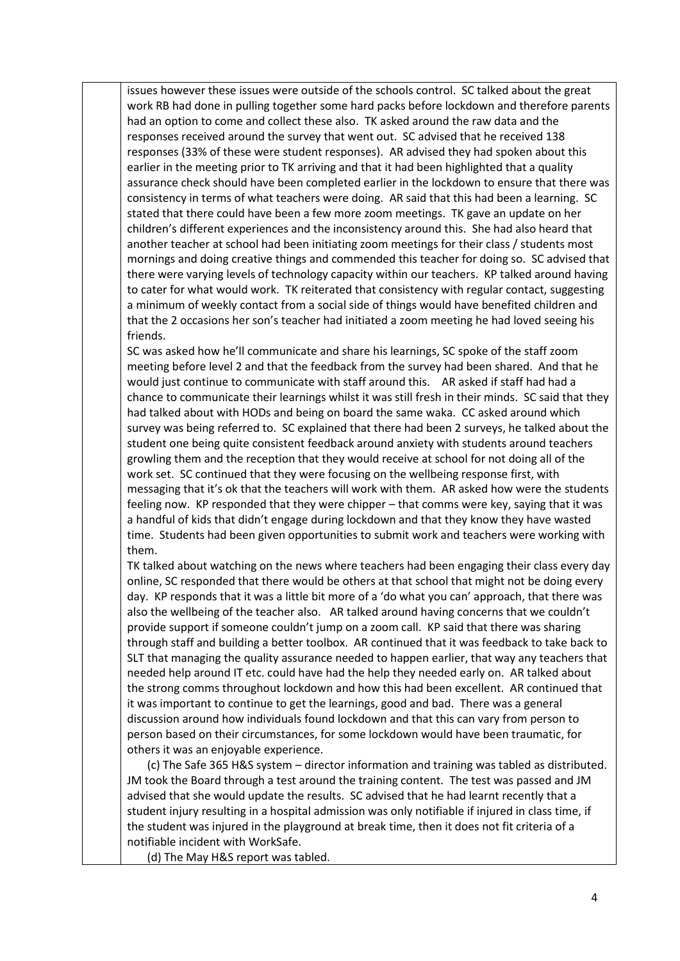issues however these issues were outside of the schools control. SC talked about the great work RB had done in pulling together some hard packs before lockdown and therefore parents had an option to come and collect these also. TK asked around the raw data and the responses received around the survey that went out. SC advised that he received 138 responses (33% of these were student responses). AR advised they had spoken about this earlier in the meeting prior to TK arriving and that it had been highlighted that a quality assurance check should have been completed earlier in the lockdown to ensure that there was consistency in terms of what teachers were doing. AR said that this had been a learning. SC stated that there could have been a few more zoom meetings. TK gave an update on her children's different experiences and the inconsistency around this. She had also heard that another teacher at school had been initiating zoom meetings for their class / students most mornings and doing creative things and commended this teacher for doing so. SC advised that there were varying levels of technology capacity within our teachers. KP talked around having to cater for what would work. TK reiterated that consistency with regular contact, suggesting a minimum of weekly contact from a social side of things would have benefited children and that the 2 occasions her son's teacher had initiated a zoom meeting he had loved seeing his friends.

SC was asked how he'll communicate and share his learnings, SC spoke of the staff zoom meeting before level 2 and that the feedback from the survey had been shared. And that he would just continue to communicate with staff around this. AR asked if staff had had a chance to communicate their learnings whilst it was still fresh in their minds. SC said that they had talked about with HODs and being on board the same waka. CC asked around which survey was being referred to. SC explained that there had been 2 surveys, he talked about the student one being quite consistent feedback around anxiety with students around teachers growling them and the reception that they would receive at school for not doing all of the work set. SC continued that they were focusing on the wellbeing response first, with messaging that it's ok that the teachers will work with them. AR asked how were the students feeling now. KP responded that they were chipper – that comms were key, saying that it was a handful of kids that didn't engage during lockdown and that they know they have wasted time. Students had been given opportunities to submit work and teachers were working with them.

TK talked about watching on the news where teachers had been engaging their class every day online, SC responded that there would be others at that school that might not be doing every day. KP responds that it was a little bit more of a 'do what you can' approach, that there was also the wellbeing of the teacher also. AR talked around having concerns that we couldn't provide support if someone couldn't jump on a zoom call. KP said that there was sharing through staff and building a better toolbox. AR continued that it was feedback to take back to SLT that managing the quality assurance needed to happen earlier, that way any teachers that needed help around IT etc. could have had the help they needed early on. AR talked about the strong comms throughout lockdown and how this had been excellent. AR continued that it was important to continue to get the learnings, good and bad. There was a general discussion around how individuals found lockdown and that this can vary from person to person based on their circumstances, for some lockdown would have been traumatic, for others it was an enjoyable experience.

 (c) The Safe 365 H&S system – director information and training was tabled as distributed. JM took the Board through a test around the training content. The test was passed and JM advised that she would update the results. SC advised that he had learnt recently that a student injury resulting in a hospital admission was only notifiable if injured in class time, if the student was injured in the playground at break time, then it does not fit criteria of a notifiable incident with WorkSafe.

(d) The May H&S report was tabled.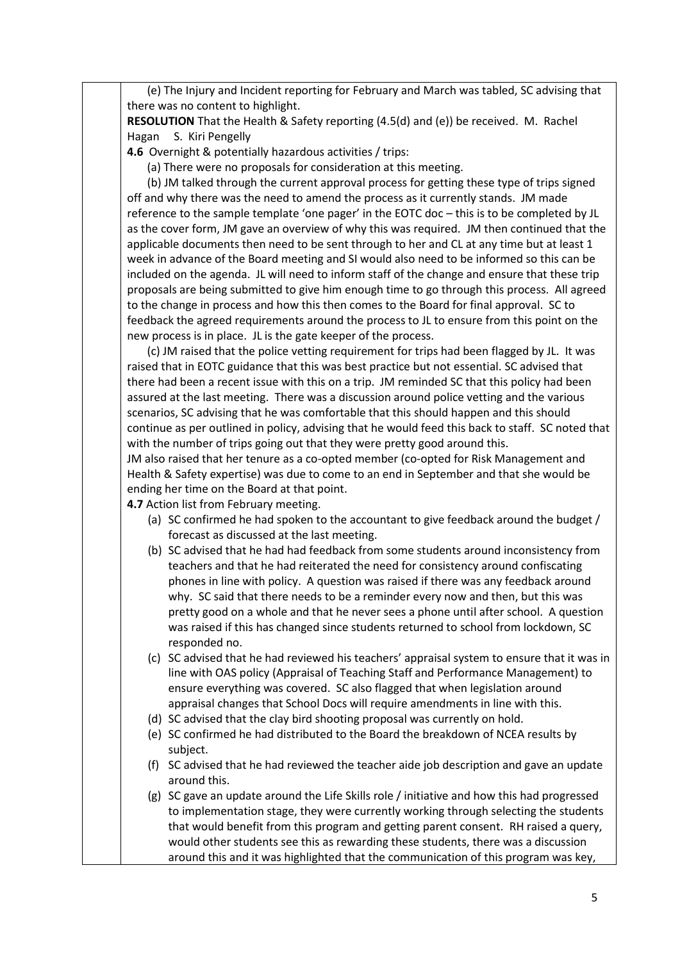(e) The Injury and Incident reporting for February and March was tabled, SC advising that there was no content to highlight.

**RESOLUTION** That the Health & Safety reporting (4.5(d) and (e)) be received. M. Rachel Hagan S. Kiri Pengelly

**4.6** Overnight & potentially hazardous activities / trips:

(a) There were no proposals for consideration at this meeting.

 (b) JM talked through the current approval process for getting these type of trips signed off and why there was the need to amend the process as it currently stands. JM made reference to the sample template 'one pager' in the EOTC doc – this is to be completed by JL as the cover form, JM gave an overview of why this was required. JM then continued that the applicable documents then need to be sent through to her and CL at any time but at least 1 week in advance of the Board meeting and SI would also need to be informed so this can be included on the agenda. JL will need to inform staff of the change and ensure that these trip proposals are being submitted to give him enough time to go through this process. All agreed to the change in process and how this then comes to the Board for final approval. SC to feedback the agreed requirements around the process to JL to ensure from this point on the new process is in place. JL is the gate keeper of the process.

 (c) JM raised that the police vetting requirement for trips had been flagged by JL. It was raised that in EOTC guidance that this was best practice but not essential. SC advised that there had been a recent issue with this on a trip. JM reminded SC that this policy had been assured at the last meeting. There was a discussion around police vetting and the various scenarios, SC advising that he was comfortable that this should happen and this should continue as per outlined in policy, advising that he would feed this back to staff. SC noted that with the number of trips going out that they were pretty good around this.

JM also raised that her tenure as a co-opted member (co-opted for Risk Management and Health & Safety expertise) was due to come to an end in September and that she would be ending her time on the Board at that point.

**4.7** Action list from February meeting.

- (a) SC confirmed he had spoken to the accountant to give feedback around the budget / forecast as discussed at the last meeting.
- (b) SC advised that he had had feedback from some students around inconsistency from teachers and that he had reiterated the need for consistency around confiscating phones in line with policy. A question was raised if there was any feedback around why. SC said that there needs to be a reminder every now and then, but this was pretty good on a whole and that he never sees a phone until after school. A question was raised if this has changed since students returned to school from lockdown, SC responded no.
- (c) SC advised that he had reviewed his teachers' appraisal system to ensure that it was in line with OAS policy (Appraisal of Teaching Staff and Performance Management) to ensure everything was covered. SC also flagged that when legislation around appraisal changes that School Docs will require amendments in line with this.
- (d) SC advised that the clay bird shooting proposal was currently on hold.
- (e) SC confirmed he had distributed to the Board the breakdown of NCEA results by subject.
- (f) SC advised that he had reviewed the teacher aide job description and gave an update around this.
- (g) SC gave an update around the Life Skills role / initiative and how this had progressed to implementation stage, they were currently working through selecting the students that would benefit from this program and getting parent consent. RH raised a query, would other students see this as rewarding these students, there was a discussion around this and it was highlighted that the communication of this program was key,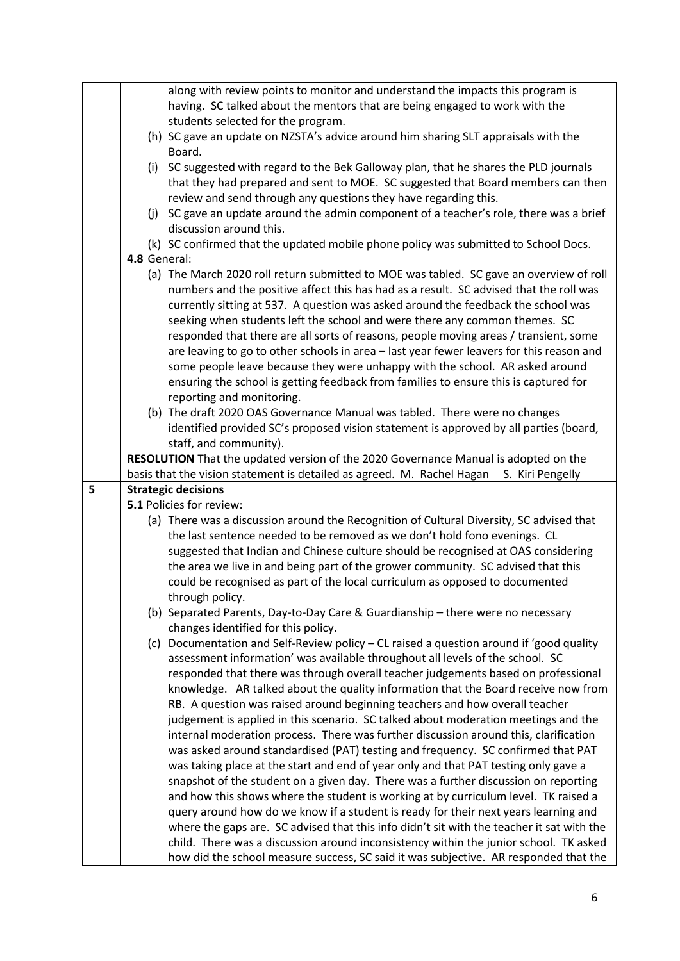|   |              | along with review points to monitor and understand the impacts this program is             |
|---|--------------|--------------------------------------------------------------------------------------------|
|   |              | having. SC talked about the mentors that are being engaged to work with the                |
|   |              | students selected for the program.                                                         |
|   |              | (h) SC gave an update on NZSTA's advice around him sharing SLT appraisals with the         |
|   |              |                                                                                            |
|   |              | Board.                                                                                     |
|   |              | (i) SC suggested with regard to the Bek Galloway plan, that he shares the PLD journals     |
|   |              | that they had prepared and sent to MOE. SC suggested that Board members can then           |
|   |              | review and send through any questions they have regarding this.                            |
|   |              | (j) SC gave an update around the admin component of a teacher's role, there was a brief    |
|   |              | discussion around this.                                                                    |
|   |              | (k) SC confirmed that the updated mobile phone policy was submitted to School Docs.        |
|   | 4.8 General: |                                                                                            |
|   |              | (a) The March 2020 roll return submitted to MOE was tabled. SC gave an overview of roll    |
|   |              | numbers and the positive affect this has had as a result. SC advised that the roll was     |
|   |              | currently sitting at 537. A question was asked around the feedback the school was          |
|   |              |                                                                                            |
|   |              | seeking when students left the school and were there any common themes. SC                 |
|   |              | responded that there are all sorts of reasons, people moving areas / transient, some       |
|   |              | are leaving to go to other schools in area - last year fewer leavers for this reason and   |
|   |              | some people leave because they were unhappy with the school. AR asked around               |
|   |              | ensuring the school is getting feedback from families to ensure this is captured for       |
|   |              | reporting and monitoring.                                                                  |
|   |              | (b) The draft 2020 OAS Governance Manual was tabled. There were no changes                 |
|   |              | identified provided SC's proposed vision statement is approved by all parties (board,      |
|   |              | staff, and community).                                                                     |
|   |              | RESOLUTION That the updated version of the 2020 Governance Manual is adopted on the        |
|   |              |                                                                                            |
|   |              |                                                                                            |
|   |              | basis that the vision statement is detailed as agreed. M. Rachel Hagan<br>S. Kiri Pengelly |
| 5 |              | <b>Strategic decisions</b>                                                                 |
|   |              | 5.1 Policies for review:                                                                   |
|   |              | (a) There was a discussion around the Recognition of Cultural Diversity, SC advised that   |
|   |              | the last sentence needed to be removed as we don't hold fono evenings. CL                  |
|   |              | suggested that Indian and Chinese culture should be recognised at OAS considering          |
|   |              | the area we live in and being part of the grower community. SC advised that this           |
|   |              | could be recognised as part of the local curriculum as opposed to documented               |
|   |              | through policy.                                                                            |
|   |              | (b) Separated Parents, Day-to-Day Care & Guardianship - there were no necessary            |
|   |              | changes identified for this policy.                                                        |
|   |              | (c) Documentation and Self-Review policy - CL raised a question around if 'good quality    |
|   |              | assessment information' was available throughout all levels of the school. SC              |
|   |              | responded that there was through overall teacher judgements based on professional          |
|   |              |                                                                                            |
|   |              | knowledge. AR talked about the quality information that the Board receive now from         |
|   |              | RB. A question was raised around beginning teachers and how overall teacher                |
|   |              | judgement is applied in this scenario. SC talked about moderation meetings and the         |
|   |              | internal moderation process. There was further discussion around this, clarification       |
|   |              | was asked around standardised (PAT) testing and frequency. SC confirmed that PAT           |
|   |              | was taking place at the start and end of year only and that PAT testing only gave a        |
|   |              | snapshot of the student on a given day. There was a further discussion on reporting        |
|   |              | and how this shows where the student is working at by curriculum level. TK raised a        |
|   |              | query around how do we know if a student is ready for their next years learning and        |
|   |              | where the gaps are. SC advised that this info didn't sit with the teacher it sat with the  |
|   |              | child. There was a discussion around inconsistency within the junior school. TK asked      |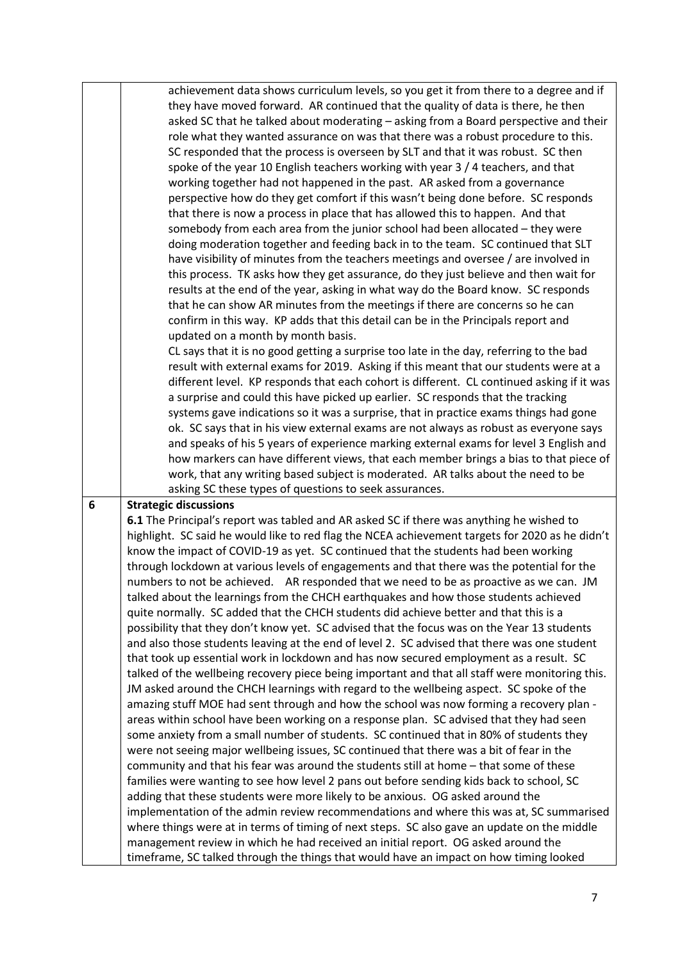|                 | achievement data shows curriculum levels, so you get it from there to a degree and if                                                                                       |
|-----------------|-----------------------------------------------------------------------------------------------------------------------------------------------------------------------------|
|                 | they have moved forward. AR continued that the quality of data is there, he then                                                                                            |
|                 | asked SC that he talked about moderating - asking from a Board perspective and their                                                                                        |
|                 |                                                                                                                                                                             |
|                 | role what they wanted assurance on was that there was a robust procedure to this.                                                                                           |
|                 | SC responded that the process is overseen by SLT and that it was robust. SC then                                                                                            |
|                 | spoke of the year 10 English teachers working with year 3 / 4 teachers, and that                                                                                            |
|                 | working together had not happened in the past. AR asked from a governance                                                                                                   |
|                 | perspective how do they get comfort if this wasn't being done before. SC responds                                                                                           |
|                 | that there is now a process in place that has allowed this to happen. And that                                                                                              |
|                 |                                                                                                                                                                             |
|                 | somebody from each area from the junior school had been allocated - they were                                                                                               |
|                 | doing moderation together and feeding back in to the team. SC continued that SLT                                                                                            |
|                 | have visibility of minutes from the teachers meetings and oversee / are involved in                                                                                         |
|                 | this process. TK asks how they get assurance, do they just believe and then wait for                                                                                        |
|                 | results at the end of the year, asking in what way do the Board know. SC responds                                                                                           |
|                 | that he can show AR minutes from the meetings if there are concerns so he can                                                                                               |
|                 | confirm in this way. KP adds that this detail can be in the Principals report and                                                                                           |
|                 | updated on a month by month basis.                                                                                                                                          |
|                 | CL says that it is no good getting a surprise too late in the day, referring to the bad                                                                                     |
|                 |                                                                                                                                                                             |
|                 | result with external exams for 2019. Asking if this meant that our students were at a                                                                                       |
|                 | different level. KP responds that each cohort is different. CL continued asking if it was                                                                                   |
|                 | a surprise and could this have picked up earlier. SC responds that the tracking                                                                                             |
|                 | systems gave indications so it was a surprise, that in practice exams things had gone                                                                                       |
|                 | ok. SC says that in his view external exams are not always as robust as everyone says                                                                                       |
|                 | and speaks of his 5 years of experience marking external exams for level 3 English and                                                                                      |
|                 | how markers can have different views, that each member brings a bias to that piece of                                                                                       |
|                 |                                                                                                                                                                             |
|                 |                                                                                                                                                                             |
|                 | work, that any writing based subject is moderated. AR talks about the need to be                                                                                            |
|                 | asking SC these types of questions to seek assurances.                                                                                                                      |
| $6\phantom{1}6$ | <b>Strategic discussions</b>                                                                                                                                                |
|                 | 6.1 The Principal's report was tabled and AR asked SC if there was anything he wished to                                                                                    |
|                 | highlight. SC said he would like to red flag the NCEA achievement targets for 2020 as he didn't                                                                             |
|                 | know the impact of COVID-19 as yet. SC continued that the students had been working                                                                                         |
|                 |                                                                                                                                                                             |
|                 | through lockdown at various levels of engagements and that there was the potential for the                                                                                  |
|                 | numbers to not be achieved. AR responded that we need to be as proactive as we can. JM                                                                                      |
|                 | talked about the learnings from the CHCH earthquakes and how those students achieved                                                                                        |
|                 | quite normally. SC added that the CHCH students did achieve better and that this is a                                                                                       |
|                 | possibility that they don't know yet. SC advised that the focus was on the Year 13 students                                                                                 |
|                 | and also those students leaving at the end of level 2. SC advised that there was one student                                                                                |
|                 | that took up essential work in lockdown and has now secured employment as a result. SC                                                                                      |
|                 | talked of the wellbeing recovery piece being important and that all staff were monitoring this.                                                                             |
|                 |                                                                                                                                                                             |
|                 | JM asked around the CHCH learnings with regard to the wellbeing aspect. SC spoke of the                                                                                     |
|                 | amazing stuff MOE had sent through and how the school was now forming a recovery plan -                                                                                     |
|                 | areas within school have been working on a response plan. SC advised that they had seen                                                                                     |
|                 | some anxiety from a small number of students. SC continued that in 80% of students they                                                                                     |
|                 | were not seeing major wellbeing issues, SC continued that there was a bit of fear in the                                                                                    |
|                 | community and that his fear was around the students still at home - that some of these                                                                                      |
|                 | families were wanting to see how level 2 pans out before sending kids back to school, SC                                                                                    |
|                 | adding that these students were more likely to be anxious. OG asked around the                                                                                              |
|                 |                                                                                                                                                                             |
|                 | implementation of the admin review recommendations and where this was at, SC summarised                                                                                     |
|                 | where things were at in terms of timing of next steps. SC also gave an update on the middle                                                                                 |
|                 | management review in which he had received an initial report. OG asked around the<br>timeframe, SC talked through the things that would have an impact on how timing looked |